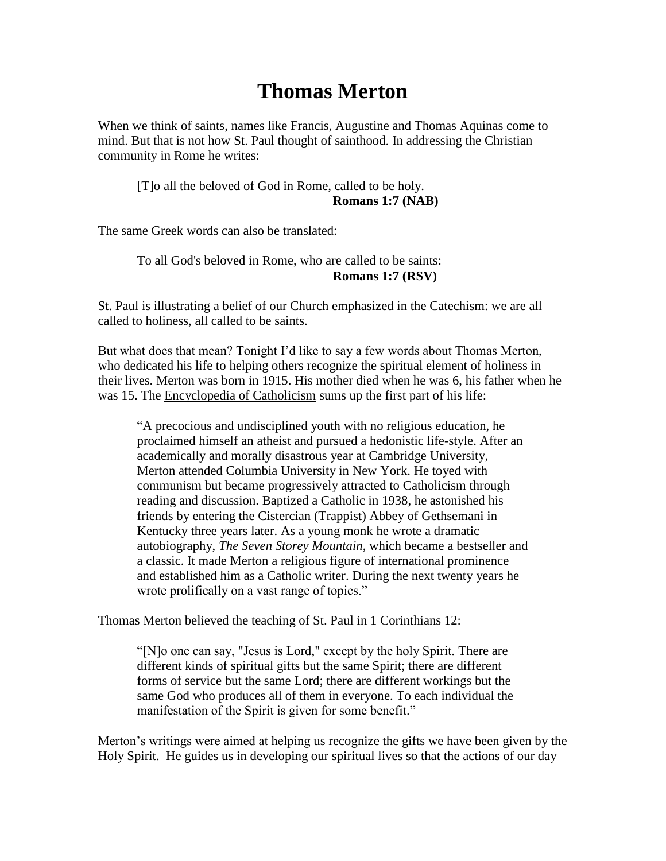## **Thomas Merton**

When we think of saints, names like Francis, Augustine and Thomas Aquinas come to mind. But that is not how St. Paul thought of sainthood. In addressing the Christian community in Rome he writes:

[T]o all the beloved of God in Rome, called to be holy. **Romans 1:7 (NAB)** 

The same Greek words can also be translated:

To all God's beloved in Rome, who are called to be saints: **Romans 1:7 (RSV)**

St. Paul is illustrating a belief of our Church emphasized in the Catechism: we are all called to holiness, all called to be saints.

But what does that mean? Tonight I'd like to say a few words about Thomas Merton, who dedicated his life to helping others recognize the spiritual element of holiness in their lives. Merton was born in 1915. His mother died when he was 6, his father when he was 15. The Encyclopedia of Catholicism sums up the first part of his life:

"A precocious and undisciplined youth with no religious education, he proclaimed himself an atheist and pursued a hedonistic life-style. After an academically and morally disastrous year at Cambridge University, Merton attended Columbia University in New York. He toyed with communism but became progressively attracted to Catholicism through reading and discussion. Baptized a Catholic in 1938, he astonished his friends by entering the Cistercian (Trappist) Abbey of Gethsemani in Kentucky three years later. As a young monk he wrote a dramatic autobiography, *The Seven Storey Mountain*, which became a bestseller and a classic. It made Merton a religious figure of international prominence and established him as a Catholic writer. During the next twenty years he wrote prolifically on a vast range of topics."

Thomas Merton believed the teaching of St. Paul in 1 Corinthians 12:

"[N]o one can say, "Jesus is Lord," except by the holy Spirit. There are different kinds of spiritual gifts but the same Spirit; there are different forms of service but the same Lord; there are different workings but the same God who produces all of them in everyone. To each individual the manifestation of the Spirit is given for some benefit."

Merton's writings were aimed at helping us recognize the gifts we have been given by the Holy Spirit. He guides us in developing our spiritual lives so that the actions of our day